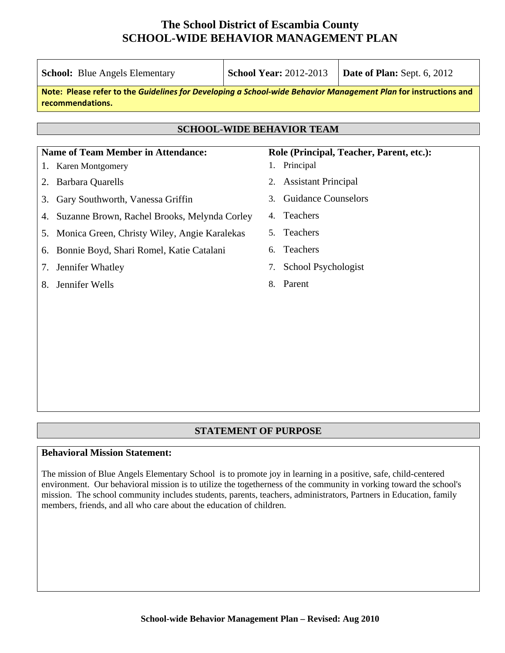|                                                                                                                                     | <b>School:</b> Blue Angels Elementary        | <b>School Year: 2012-2013</b><br>Date of Plan: Sept. 6, 2012 |  |  |  |  |  |  |  |
|-------------------------------------------------------------------------------------------------------------------------------------|----------------------------------------------|--------------------------------------------------------------|--|--|--|--|--|--|--|
| Note: Please refer to the Guidelines for Developing a School-wide Behavior Management Plan for instructions and<br>recommendations. |                                              |                                                              |  |  |  |  |  |  |  |
|                                                                                                                                     |                                              |                                                              |  |  |  |  |  |  |  |
| <b>SCHOOL-WIDE BEHAVIOR TEAM</b>                                                                                                    |                                              |                                                              |  |  |  |  |  |  |  |
|                                                                                                                                     | <b>Name of Team Member in Attendance:</b>    | Role (Principal, Teacher, Parent, etc.):                     |  |  |  |  |  |  |  |
| 1.                                                                                                                                  | Karen Montgomery                             | Principal<br>1.                                              |  |  |  |  |  |  |  |
| 2.                                                                                                                                  | <b>Barbara Quarells</b>                      | <b>Assistant Principal</b><br>2.                             |  |  |  |  |  |  |  |
| 3.                                                                                                                                  | Gary Southworth, Vanessa Griffin             | <b>Guidance Counselors</b><br>3.                             |  |  |  |  |  |  |  |
| 4.                                                                                                                                  | Suzanne Brown, Rachel Brooks, Melynda Corley | Teachers<br>4.                                               |  |  |  |  |  |  |  |
| 5.                                                                                                                                  | Monica Green, Christy Wiley, Angie Karalekas | Teachers<br>5.                                               |  |  |  |  |  |  |  |
| 6.                                                                                                                                  | Bonnie Boyd, Shari Romel, Katie Catalani     | Teachers<br>6.                                               |  |  |  |  |  |  |  |
| 7.                                                                                                                                  | Jennifer Whatley                             | School Psychologist<br>7.                                    |  |  |  |  |  |  |  |
| 8.                                                                                                                                  | Jennifer Wells                               | Parent<br>8.                                                 |  |  |  |  |  |  |  |
|                                                                                                                                     |                                              |                                                              |  |  |  |  |  |  |  |
|                                                                                                                                     |                                              |                                                              |  |  |  |  |  |  |  |
|                                                                                                                                     |                                              |                                                              |  |  |  |  |  |  |  |
|                                                                                                                                     |                                              |                                                              |  |  |  |  |  |  |  |

### **STATEMENT OF PURPOSE**

#### **Behavioral Mission Statement:**

The mission of Blue Angels Elementary School is to promote joy in learning in a positive, safe, child-centered environment. Our behavioral mission is to utilize the togetherness of the community in vorking toward the school's mission. The school community includes students, parents, teachers, administrators, Partners in Education, family members, friends, and all who care about the education of children.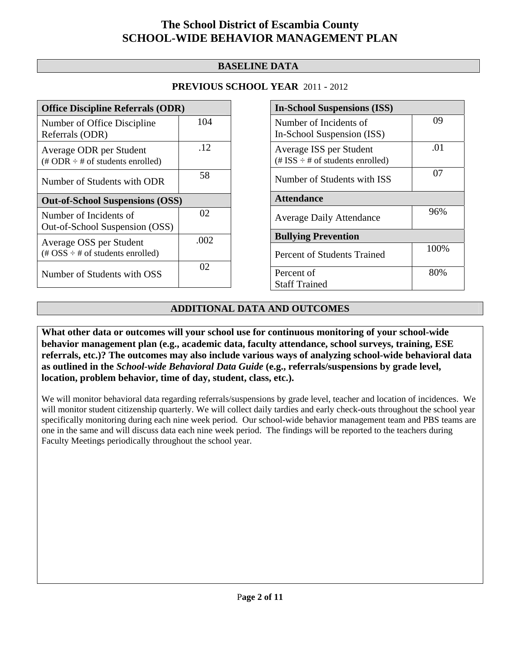### **BASELINE DATA**

### **PREVIOUS SCHOOL YEAR** 2011 - 2012

| <b>Office Discipline Referrals (ODR)</b>                                                        |      |  |  |  |
|-------------------------------------------------------------------------------------------------|------|--|--|--|
| Number of Office Discipline<br>Referrals (ODR)                                                  | 104  |  |  |  |
| Average ODR per Student<br>$(\# ODR \div \# \text{ of students enrolled})$                      | .12  |  |  |  |
| Number of Students with ODR                                                                     | 58   |  |  |  |
| <b>Out-of-School Suspensions (OSS)</b>                                                          |      |  |  |  |
| Number of Incidents of                                                                          | 02   |  |  |  |
| Out-of-School Suspension (OSS)                                                                  |      |  |  |  |
| Average OSS per Student<br>$(\text{\#} \text{OSS} \div \text{\#} \text{ of students enrolled})$ | .002 |  |  |  |

| <b>In-School Suspensions (ISS)</b>                               |      |  |  |  |
|------------------------------------------------------------------|------|--|--|--|
| Number of Incidents of<br>In-School Suspension (ISS)             | 09   |  |  |  |
| Average ISS per Student<br>(# ISS $\div$ # of students enrolled) | .01  |  |  |  |
| Number of Students with ISS                                      | 07   |  |  |  |
| <b>Attendance</b>                                                |      |  |  |  |
| <b>Average Daily Attendance</b>                                  | 96%  |  |  |  |
| <b>Bullying Prevention</b>                                       |      |  |  |  |
| <b>Percent of Students Trained</b>                               | 100% |  |  |  |
| Percent of<br><b>Staff Trained</b>                               | 80%  |  |  |  |

## **ADDITIONAL DATA AND OUTCOMES**

**What other data or outcomes will your school use for continuous monitoring of your school-wide behavior management plan (e.g., academic data, faculty attendance, school surveys, training, ESE referrals, etc.)? The outcomes may also include various ways of analyzing school-wide behavioral data as outlined in the** *School-wide Behavioral Data Guide* **(e.g., referrals/suspensions by grade level, location, problem behavior, time of day, student, class, etc.).**

We will monitor behavioral data regarding referrals/suspensions by grade level, teacher and location of incidences. We will monitor student citizenship quarterly. We will collect daily tardies and early check-outs throughout the school year specifically monitoring during each nine week period. Our school-wide behavior management team and PBS teams are one in the same and will discuss data each nine week period. The findings will be reported to the teachers during Faculty Meetings periodically throughout the school year.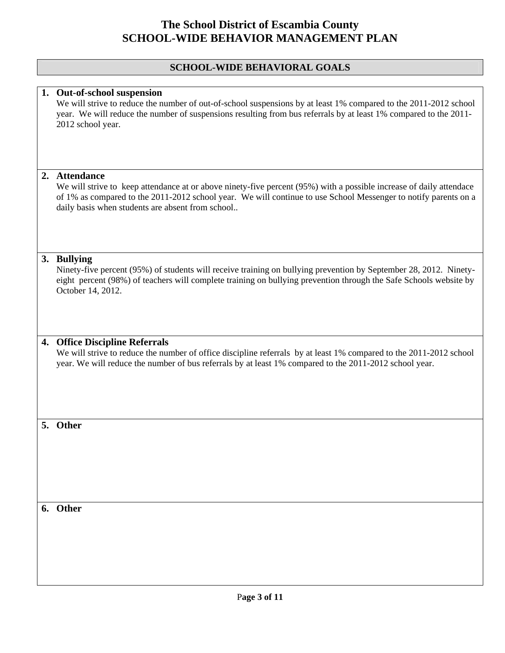### **SCHOOL-WIDE BEHAVIORAL GOALS**

#### **1. Out-of-school suspension**

We will strive to reduce the number of out-of-school suspensions by at least 1% compared to the 2011-2012 school year. We will reduce the number of suspensions resulting from bus referrals by at least 1% compared to the 2011- 2012 school year.

#### **2. Attendance**

We will strive to keep attendance at or above ninety-five percent (95%) with a possible increase of daily attendace of 1% as compared to the 2011-2012 school year. We will continue to use School Messenger to notify parents on a daily basis when students are absent from school..

#### **3. Bullying**

Ninety-five percent (95%) of students will receive training on bullying prevention by September 28, 2012. Ninetyeight percent (98%) of teachers will complete training on bullying prevention through the Safe Schools website by October 14, 2012.

#### **4. Office Discipline Referrals**

We will strive to reduce the number of office discipline referrals by at least 1% compared to the 2011-2012 school year. We will reduce the number of bus referrals by at least 1% compared to the 2011-2012 school year.

#### **5. Other**

**6. Other**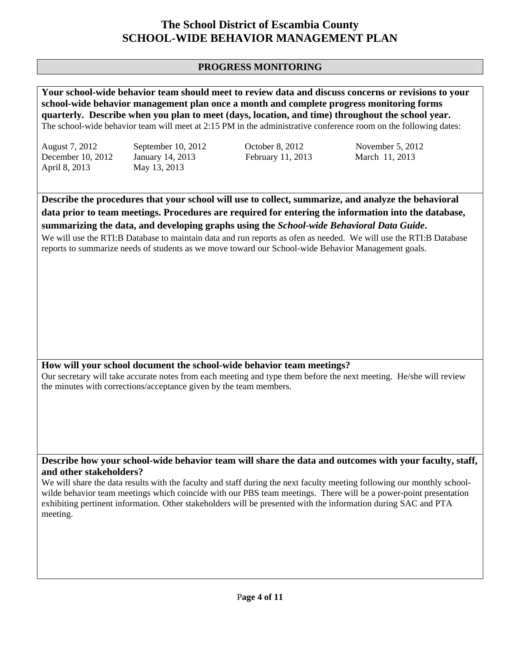### **PROGRESS MONITORING**

**Your school-wide behavior team should meet to review data and discuss concerns or revisions to your school-wide behavior management plan once a month and complete progress monitoring forms quarterly. Describe when you plan to meet (days, location, and time) throughout the school year.**  The school-wide behavior team will meet at 2:15 PM in the administrative conference room on the following dates:

April 8, 2013 May 13, 2013

August 7, 2012 September 10, 2012 October 8, 2012 November 5, 2012 December 10, 2012 January 14, 2013 February 11, 2013 March 11, 2013

**Describe the procedures that your school will use to collect, summarize, and analyze the behavioral data prior to team meetings. Procedures are required for entering the information into the database, summarizing the data, and developing graphs using the** *School-wide Behavioral Data Guide***.** 

We will use the RTI:B Database to maintain data and run reports as ofen as needed. We will use the RTI:B Database reports to summarize needs of students as we move toward our School-wide Behavior Management goals.

#### **How will your school document the school-wide behavior team meetings?**

Our secretary will take accurate notes from each meeting and type them before the next meeting. He/she will review the minutes with corrections/acceptance given by the team members.

**Describe how your school-wide behavior team will share the data and outcomes with your faculty, staff, and other stakeholders?** 

We will share the data results with the faculty and staff during the next faculty meeting following our monthly schoolwilde behavior team meetings which coincide with our PBS team meetings. There will be a power-point presentation exhibiting pertinent information. Other stakeholders will be presented with the information during SAC and PTA meeting.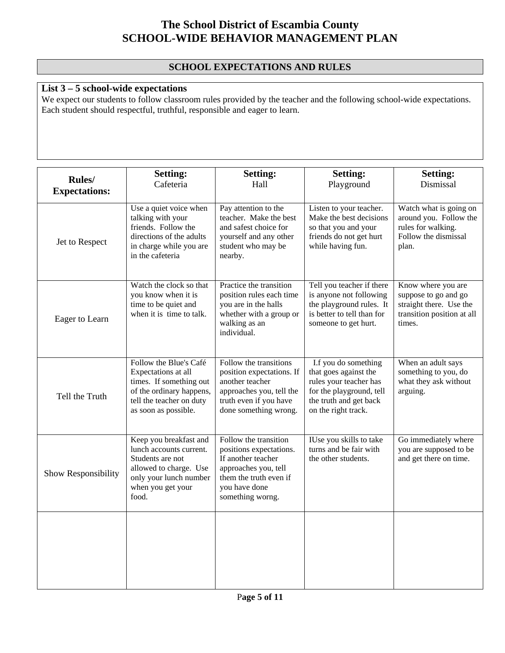## **SCHOOL EXPECTATIONS AND RULES**

## **List 3 – 5 school-wide expectations**

We expect our students to follow classroom rules provided by the teacher and the following school-wide expectations. Each student should respectful, truthful, responsible and eager to learn.

| Rules/<br><b>Expectations:</b> | <b>Setting:</b><br>Cafeteria                                                                                                                             | <b>Setting:</b><br>Hall                                                                                                                                       | <b>Setting:</b><br>Playground                                                                                                                        | <b>Setting:</b><br>Dismissal                                                                                  |
|--------------------------------|----------------------------------------------------------------------------------------------------------------------------------------------------------|---------------------------------------------------------------------------------------------------------------------------------------------------------------|------------------------------------------------------------------------------------------------------------------------------------------------------|---------------------------------------------------------------------------------------------------------------|
| Jet to Respect                 | Use a quiet voice when<br>talking with your<br>friends. Follow the<br>directions of the adults<br>in charge while you are<br>in the cafeteria            | Pay attention to the<br>teacher. Make the best<br>and safest choice for<br>yourself and any other<br>student who may be<br>nearby.                            | Listen to your teacher.<br>Make the best decisions<br>so that you and your<br>friends do not get hurt<br>while having fun.                           | Watch what is going on<br>around you. Follow the<br>rules for walking.<br>Follow the dismissal<br>plan.       |
| Eager to Learn                 | Watch the clock so that<br>you know when it is<br>time to be quiet and<br>when it is time to talk.                                                       | Practice the transition<br>position rules each time<br>you are in the halls<br>whether with a group or<br>walking as an<br>individual.                        | Tell you teacher if there<br>is anyone not following<br>the playground rules. It<br>is better to tell than for<br>someone to get hurt.               | Know where you are<br>suppose to go and go<br>straight there. Use the<br>transition position at all<br>times. |
| Tell the Truth                 | Follow the Blue's Café<br>Expectations at all<br>times. If something out<br>of the ordinary happens,<br>tell the teacher on duty<br>as soon as possible. | Follow the transitions<br>position expectations. If<br>another teacher<br>approaches you, tell the<br>truth even if you have<br>done something wrong.         | I.f you do something<br>that goes against the<br>rules your teacher has<br>for the playground, tell<br>the truth and get back<br>on the right track. | When an adult says<br>something to you, do<br>what they ask without<br>arguing.                               |
| Show Responsibility            | Keep you breakfast and<br>lunch accounts current.<br>Students are not<br>allowed to charge. Use<br>only your lunch number<br>when you get your<br>food.  | Follow the transition<br>positions expectations.<br>If another teacher<br>approaches you, tell<br>them the truth even if<br>you have done<br>something worng. | IUse you skills to take<br>turns and be fair with<br>the other students.                                                                             | Go immediately where<br>you are supposed to be<br>and get there on time.                                      |
|                                |                                                                                                                                                          |                                                                                                                                                               |                                                                                                                                                      |                                                                                                               |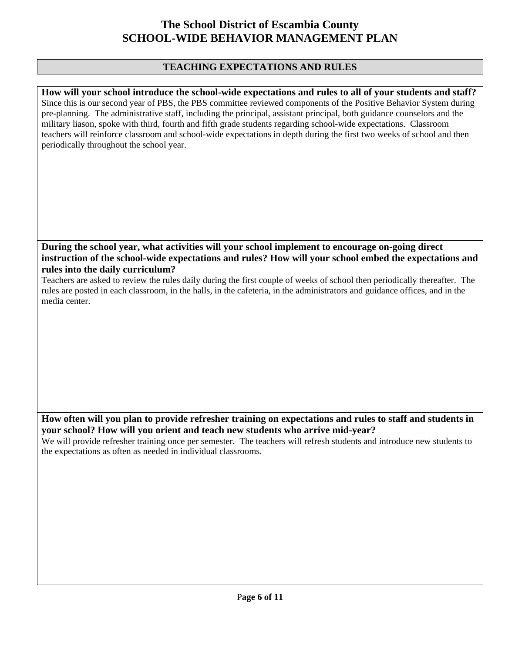### **TEACHING EXPECTATIONS AND RULES**

**How will your school introduce the school-wide expectations and rules to all of your students and staff?**  Since this is our second year of PBS, the PBS committee reviewed components of the Positive Behavior System during pre-planning. The administrative staff, including the principal, assistant principal, both guidance counselors and the military liason, spoke with third, fourth and fifth grade students regarding school-wide expectations. Classroom teachers will reinforce classroom and school-wide expectations in depth during the first two weeks of school and then periodically throughout the school year.

**During the school year, what activities will your school implement to encourage on-going direct instruction of the school-wide expectations and rules? How will your school embed the expectations and rules into the daily curriculum?** 

Teachers are asked to review the rules daily during the first couple of weeks of school then periodically thereafter. The rules are posted in each classroom, in the halls, in the cafeteria, in the administrators and guidance offices, and in the media center.

**How often will you plan to provide refresher training on expectations and rules to staff and students in your school? How will you orient and teach new students who arrive mid-year?** 

We will provide refresher training once per semester. The teachers will refresh students and introduce new students to the expectations as often as needed in individual classrooms.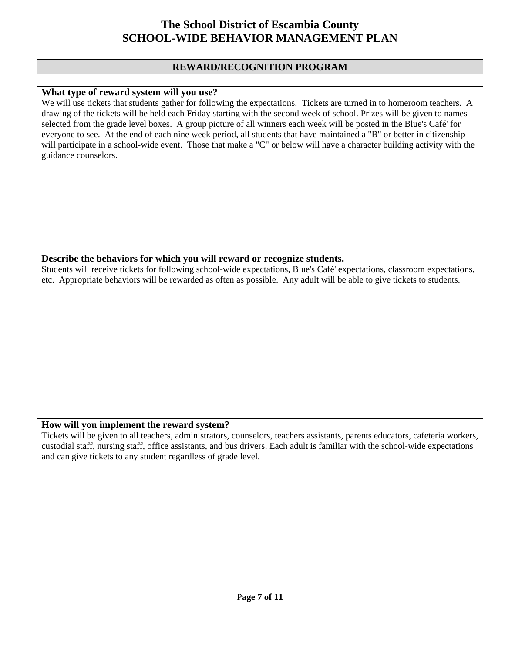### **REWARD/RECOGNITION PROGRAM**

#### **What type of reward system will you use?**

We will use tickets that students gather for following the expectations. Tickets are turned in to homeroom teachers. A drawing of the tickets will be held each Friday starting with the second week of school. Prizes will be given to names selected from the grade level boxes. A group picture of all winners each week will be posted in the Blue's Café' for everyone to see. At the end of each nine week period, all students that have maintained a "B" or better in citizenship will participate in a school-wide event. Those that make a "C" or below will have a character building activity with the guidance counselors.

#### **Describe the behaviors for which you will reward or recognize students.**

Students will receive tickets for following school-wide expectations, Blue's Café' expectations, classroom expectations, etc. Appropriate behaviors will be rewarded as often as possible. Any adult will be able to give tickets to students.

### **How will you implement the reward system?**

Tickets will be given to all teachers, administrators, counselors, teachers assistants, parents educators, cafeteria workers, custodial staff, nursing staff, office assistants, and bus drivers. Each adult is familiar with the school-wide expectations and can give tickets to any student regardless of grade level.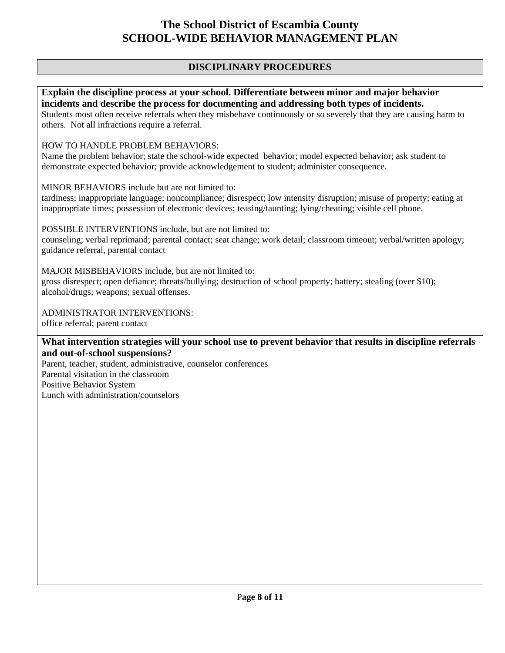### **DISCIPLINARY PROCEDURES**

**Explain the discipline process at your school. Differentiate between minor and major behavior incidents and describe the process for documenting and addressing both types of incidents.**  Students most often receive referrals when they misbehave continuously or so severely that they are causing harm to others. Not all infractions require a referral.

#### HOW TO HANDLE PROBLEM BEHAVIORS:

Name the problem behavior; state the school-wide expected behavior; model expected behavior; ask student to demonstrate expected behavior; provide acknowledgement to student; administer consequence.

MINOR BEHAVIORS include but are not limited to:

tardiness; inappropriate language; noncompliance; disrespect; low intensity disruption; misuse of property; eating at inappropriate times; possession of electronic devices; teasing/taunting; lying/cheating; visible cell phone.

POSSIBLE INTERVENTIONS include, but are not limited to: counseling; verbal reprimand; parental contact; seat change; work detail; classroom timeout; verbal/written apology; guidance referral, parental contact

MAJOR MISBEHAVIORS include, but are not limited to: gross disrespect; open defiance; threats/bullying; destruction of school property; battery; stealing (over \$10); alcohol/drugs; weapons; sexual offenses.

ADMINISTRATOR INTERVENTIONS:

office referral; parent contact

**What intervention strategies will your school use to prevent behavior that results in discipline referrals and out-of-school suspensions?** 

Parent, teacher, student, administrative, counselor conferences Parental visitation in the classroom Positive Behavior System Lunch with administration/counselors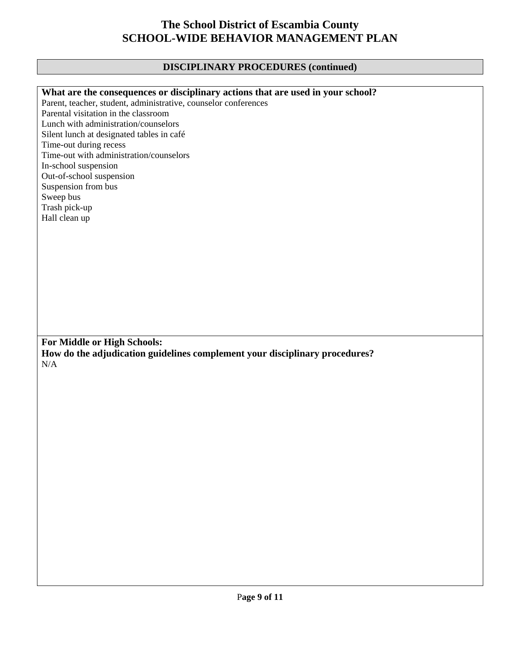## **DISCIPLINARY PROCEDURES (continued)**

| What are the consequences or disciplinary actions that are used in your school? |
|---------------------------------------------------------------------------------|
| Parent, teacher, student, administrative, counselor conferences                 |
| Parental visitation in the classroom                                            |
| Lunch with administration/counselors                                            |
| Silent lunch at designated tables in café                                       |
| Time-out during recess                                                          |
| Time-out with administration/counselors                                         |
| In-school suspension                                                            |
| Out-of-school suspension                                                        |
| Suspension from bus                                                             |
| Sweep bus                                                                       |
| Trash pick-up                                                                   |
| Hall clean up                                                                   |
|                                                                                 |
|                                                                                 |
|                                                                                 |
|                                                                                 |
|                                                                                 |
|                                                                                 |
|                                                                                 |
|                                                                                 |
|                                                                                 |
|                                                                                 |
|                                                                                 |
|                                                                                 |
| For Middle or High Schools:                                                     |
| How do the adjudication guidelines complement your disciplinary procedures?     |
| N/A                                                                             |
|                                                                                 |
|                                                                                 |
|                                                                                 |
|                                                                                 |
|                                                                                 |
|                                                                                 |
|                                                                                 |
|                                                                                 |
|                                                                                 |
|                                                                                 |
|                                                                                 |
|                                                                                 |
|                                                                                 |
|                                                                                 |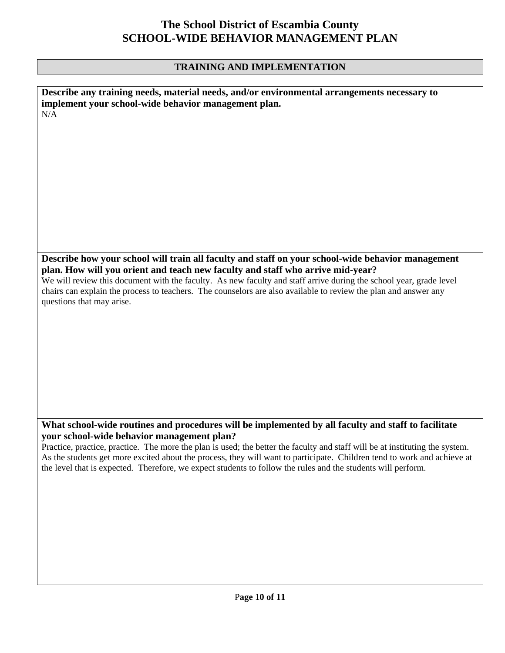### **TRAINING AND IMPLEMENTATION**

**Describe any training needs, material needs, and/or environmental arrangements necessary to implement your school-wide behavior management plan.**  N/A

**Describe how your school will train all faculty and staff on your school-wide behavior management plan. How will you orient and teach new faculty and staff who arrive mid-year?** 

We will review this document with the faculty. As new faculty and staff arrive during the school year, grade level chairs can explain the process to teachers. The counselors are also available to review the plan and answer any questions that may arise.

### **What school-wide routines and procedures will be implemented by all faculty and staff to facilitate your school-wide behavior management plan?**

Practice, practice, practice. The more the plan is used; the better the faculty and staff will be at instituting the system. As the students get more excited about the process, they will want to participate. Children tend to work and achieve at the level that is expected. Therefore, we expect students to follow the rules and the students will perform.